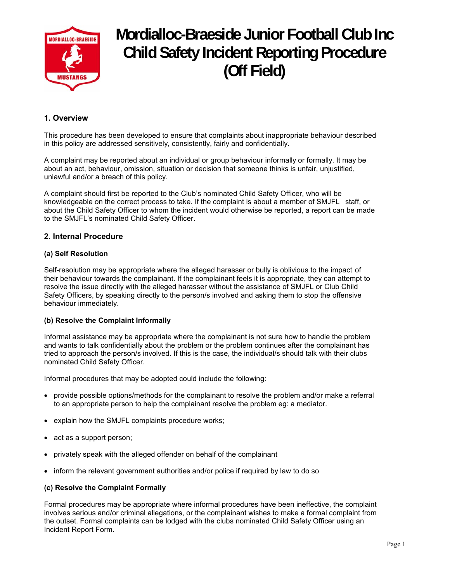

# **Mordialloc-Braeside Junior Football Club Inc Child Safety Incident Reporting Procedure (Off Field)**

## **1. Overview**

This procedure has been developed to ensure that complaints about inappropriate behaviour described in this policy are addressed sensitively, consistently, fairly and confidentially.

A complaint may be reported about an individual or group behaviour informally or formally. It may be about an act, behaviour, omission, situation or decision that someone thinks is unfair, unjustified, unlawful and/or a breach of this policy.

A complaint should first be reported to the Club's nominated Child Safety Officer, who will be knowledgeable on the correct process to take. If the complaint is about a member of SMJFL staff, or about the Child Safety Officer to whom the incident would otherwise be reported, a report can be made to the SMJFL's nominated Child Safety Officer.

## **2. Internal Procedure**

### **(a) Self Resolution**

Self-resolution may be appropriate where the alleged harasser or bully is oblivious to the impact of their behaviour towards the complainant. If the complainant feels it is appropriate, they can attempt to resolve the issue directly with the alleged harasser without the assistance of SMJFL or Club Child Safety Officers, by speaking directly to the person/s involved and asking them to stop the offensive behaviour immediately.

#### **(b) Resolve the Complaint Informally**

Informal assistance may be appropriate where the complainant is not sure how to handle the problem and wants to talk confidentially about the problem or the problem continues after the complainant has tried to approach the person/s involved. If this is the case, the individual/s should talk with their clubs nominated Child Safety Officer.

Informal procedures that may be adopted could include the following:

- provide possible options/methods for the complainant to resolve the problem and/or make a referral to an appropriate person to help the complainant resolve the problem eg: a mediator.
- explain how the SMJFL complaints procedure works;
- act as a support person;
- privately speak with the alleged offender on behalf of the complainant
- inform the relevant government authorities and/or police if required by law to do so

## **(c) Resolve the Complaint Formally**

Formal procedures may be appropriate where informal procedures have been ineffective, the complaint involves serious and/or criminal allegations, or the complainant wishes to make a formal complaint from the outset. Formal complaints can be lodged with the clubs nominated Child Safety Officer using an Incident Report Form.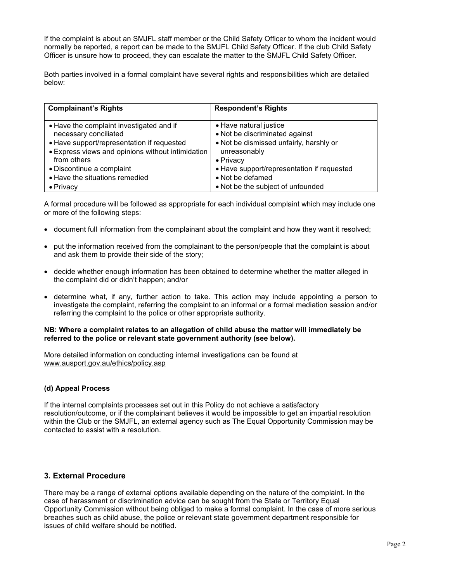If the complaint is about an SMJFL staff member or the Child Safety Officer to whom the incident would normally be reported, a report can be made to the SMJFL Child Safety Officer. If the club Child Safety Officer is unsure how to proceed, they can escalate the matter to the SMJFL Child Safety Officer.

Both parties involved in a formal complaint have several rights and responsibilities which are detailed below:

| <b>Complainant's Rights</b>                                                                                     | <b>Respondent's Rights</b>                                                                          |
|-----------------------------------------------------------------------------------------------------------------|-----------------------------------------------------------------------------------------------------|
| • Have the complaint investigated and if<br>necessary conciliated<br>• Have support/representation if requested | • Have natural justice<br>• Not be discriminated against<br>. Not be dismissed unfairly, harshly or |
| • Express views and opinions without intimidation<br>from others                                                | unreasonably<br>• Privacy                                                                           |
| • Discontinue a complaint                                                                                       | • Have support/representation if requested                                                          |
| • Have the situations remedied                                                                                  | • Not be defamed                                                                                    |
| $\bullet$ Privacy                                                                                               | • Not be the subject of unfounded                                                                   |

A formal procedure will be followed as appropriate for each individual complaint which may include one or more of the following steps:

- document full information from the complainant about the complaint and how they want it resolved;
- put the information received from the complainant to the person/people that the complaint is about and ask them to provide their side of the story;
- decide whether enough information has been obtained to determine whether the matter alleged in the complaint did or didn't happen; and/or
- determine what, if any, further action to take. This action may include appointing a person to investigate the complaint, referring the complaint to an informal or a formal mediation session and/or referring the complaint to the police or other appropriate authority.

#### **NB: Where a complaint relates to an allegation of child abuse the matter will immediately be referred to the police or relevant state government authority (see below).**

More detailed information on conducting internal investigations can be found at www.ausport.gov.au/ethics/policy.asp

#### **(d) Appeal Process**

If the internal complaints processes set out in this Policy do not achieve a satisfactory resolution/outcome, or if the complainant believes it would be impossible to get an impartial resolution within the Club or the SMJFL, an external agency such as The Equal Opportunity Commission may be contacted to assist with a resolution.

## **3. External Procedure**

There may be a range of external options available depending on the nature of the complaint. In the case of harassment or discrimination advice can be sought from the State or Territory Equal Opportunity Commission without being obliged to make a formal complaint. In the case of more serious breaches such as child abuse, the police or relevant state government department responsible for issues of child welfare should be notified.